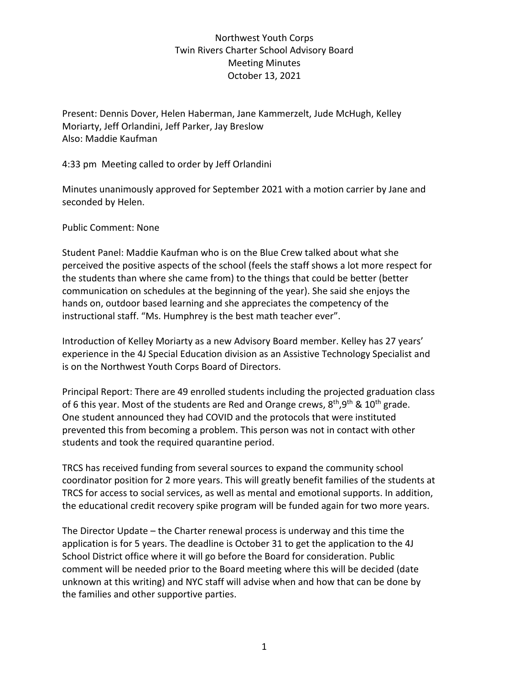## Northwest Youth Corps Twin Rivers Charter School Advisory Board Meeting Minutes October 13, 2021

Present: Dennis Dover, Helen Haberman, Jane Kammerzelt, Jude McHugh, Kelley Moriarty, Jeff Orlandini, Jeff Parker, Jay Breslow Also: Maddie Kaufman

4:33 pm Meeting called to order by Jeff Orlandini

Minutes unanimously approved for September 2021 with a motion carrier by Jane and seconded by Helen.

## Public Comment: None

Student Panel: Maddie Kaufman who is on the Blue Crew talked about what she perceived the positive aspects of the school (feels the staff shows a lot more respect for the students than where she came from) to the things that could be better (better communication on schedules at the beginning of the year). She said she enjoys the hands on, outdoor based learning and she appreciates the competency of the instructional staff. "Ms. Humphrey is the best math teacher ever".

Introduction of Kelley Moriarty as a new Advisory Board member. Kelley has 27 years' experience in the 4J Special Education division as an Assistive Technology Specialist and is on the Northwest Youth Corps Board of Directors.

Principal Report: There are 49 enrolled students including the projected graduation class of 6 this year. Most of the students are Red and Orange crews,  $8<sup>th</sup>,9<sup>th</sup>$  &  $10<sup>th</sup>$  grade. One student announced they had COVID and the protocols that were instituted prevented this from becoming a problem. This person was not in contact with other students and took the required quarantine period.

TRCS has received funding from several sources to expand the community school coordinator position for 2 more years. This will greatly benefit families of the students at TRCS for access to social services, as well as mental and emotional supports. In addition, the educational credit recovery spike program will be funded again for two more years.

The Director Update – the Charter renewal process is underway and this time the application is for 5 years. The deadline is October 31 to get the application to the 4J School District office where it will go before the Board for consideration. Public comment will be needed prior to the Board meeting where this will be decided (date unknown at this writing) and NYC staff will advise when and how that can be done by the families and other supportive parties.